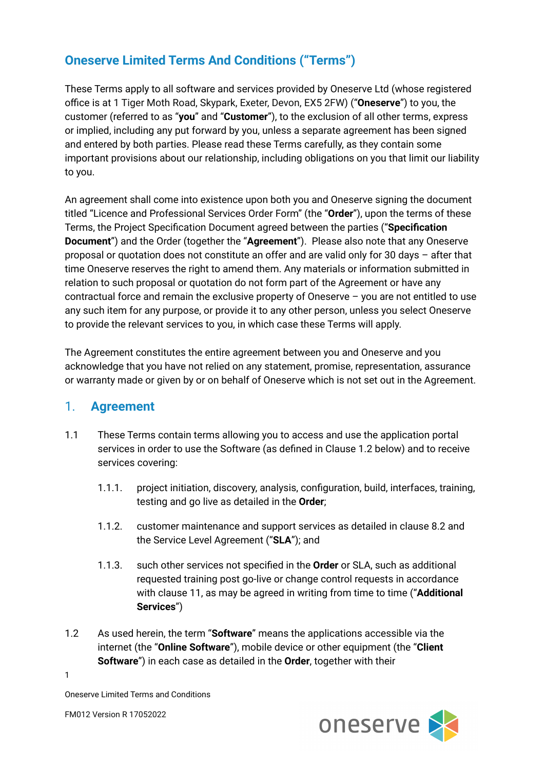# **Oneserve Limited Terms And Conditions ("Terms")**

These Terms apply to all software and services provided by Oneserve Ltd (whose registered office is at 1 Tiger Moth Road, Skypark, Exeter, Devon, EX5 2FW) ("**Oneserve**") to you, the customer (referred to as "**you**" and "**Customer**"), to the exclusion of all other terms, express or implied, including any put forward by you, unless a separate agreement has been signed and entered by both parties. Please read these Terms carefully, as they contain some important provisions about our relationship, including obligations on you that limit our liability to you.

An agreement shall come into existence upon both you and Oneserve signing the document titled "Licence and Professional Services Order Form" (the "**Order**"), upon the terms of these Terms, the Project Specification Document agreed between the parties ("**Specification Document**") and the Order (together the "**Agreement**"). Please also note that any Oneserve proposal or quotation does not constitute an offer and are valid only for 30 days – after that time Oneserve reserves the right to amend them. Any materials or information submitted in relation to such proposal or quotation do not form part of the Agreement or have any contractual force and remain the exclusive property of Oneserve – you are not entitled to use any such item for any purpose, or provide it to any other person, unless you select Oneserve to provide the relevant services to you, in which case these Terms will apply.

The Agreement constitutes the entire agreement between you and Oneserve and you acknowledge that you have not relied on any statement, promise, representation, assurance or warranty made or given by or on behalf of Oneserve which is not set out in the Agreement.

## 1. **Agreement**

- 1.1 These Terms contain terms allowing you to access and use the application portal services in order to use the Software (as defined in Clause 1.2 below) and to receive services covering:
	- 1.1.1. project initiation, discovery, analysis, configuration, build, interfaces, training, testing and go live as detailed in the **Order**;
	- 1.1.2. customer maintenance and support services as detailed in clause 8.2 and the Service Level Agreement ("**SLA**"); and
	- 1.1.3. such other services not specified in the **Order** or SLA, such as additional requested training post go-live or change control requests in accordance with clause 11, as may be agreed in writing from time to time ("**Additional Services**")
- 1.2 As used herein, the term "**Software**" means the applications accessible via the internet (the "**Online Software**"), mobile device or other equipment (the "**Client Software**") in each case as detailed in the **Order**, together with their

1



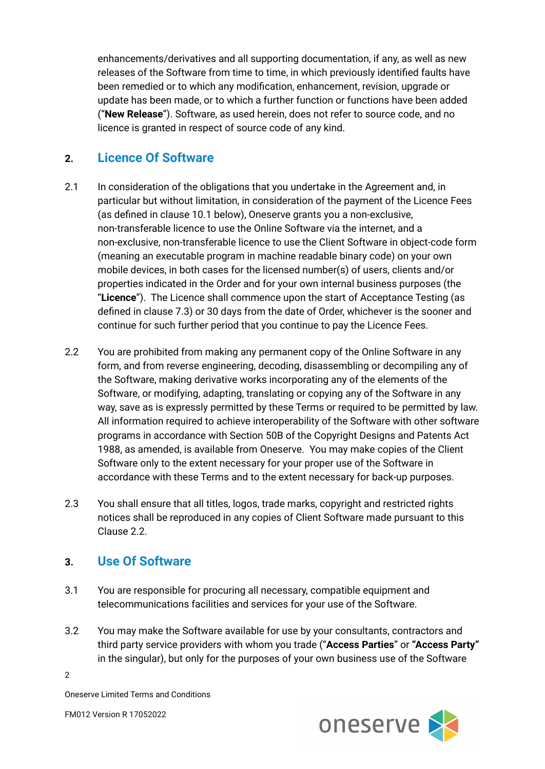enhancements/derivatives and all supporting documentation, if any, as well as new releases of the Software from time to time, in which previously identified faults have been remedied or to which any modification, enhancement, revision, upgrade or update has been made, or to which a further function or functions have been added ("**New Release**"). Software, as used herein, does not refer to source code, and no licence is granted in respect of source code of any kind.

## **2. Licence Of Software**

- 2.1 In consideration of the obligations that you undertake in the Agreement and, in particular but without limitation, in consideration of the payment of the Licence Fees (as defined in clause 10.1 below), Oneserve grants you a non-exclusive, non-transferable licence to use the Online Software via the internet, and a non-exclusive, non-transferable licence to use the Client Software in object-code form (meaning an executable program in machine readable binary code) on your own mobile devices, in both cases for the licensed number(s) of users, clients and/or properties indicated in the Order and for your own internal business purposes (the "**Licence**"). The Licence shall commence upon the start of Acceptance Testing (as defined in clause 7.3) or 30 days from the date of Order, whichever is the sooner and continue for such further period that you continue to pay the Licence Fees.
- 2.2 You are prohibited from making any permanent copy of the Online Software in any form, and from reverse engineering, decoding, disassembling or decompiling any of the Software, making derivative works incorporating any of the elements of the Software, or modifying, adapting, translating or copying any of the Software in any way, save as is expressly permitted by these Terms or required to be permitted by law. All information required to achieve interoperability of the Software with other software programs in accordance with Section 50B of the Copyright Designs and Patents Act 1988, as amended, is available from Oneserve. You may make copies of the Client Software only to the extent necessary for your proper use of the Software in accordance with these Terms and to the extent necessary for back-up purposes.
- 2.3 You shall ensure that all titles, logos, trade marks, copyright and restricted rights notices shall be reproduced in any copies of Client Software made pursuant to this Clause 2.2.

#### **3. Use Of Software**

- 3.1 You are responsible for procuring all necessary, compatible equipment and telecommunications facilities and services for your use of the Software.
- 3.2 You may make the Software available for use by your consultants, contractors and third party service providers with whom you trade ("**Access Parties**" or **"Access Party"** in the singular), but only for the purposes of your own business use of the Software

2



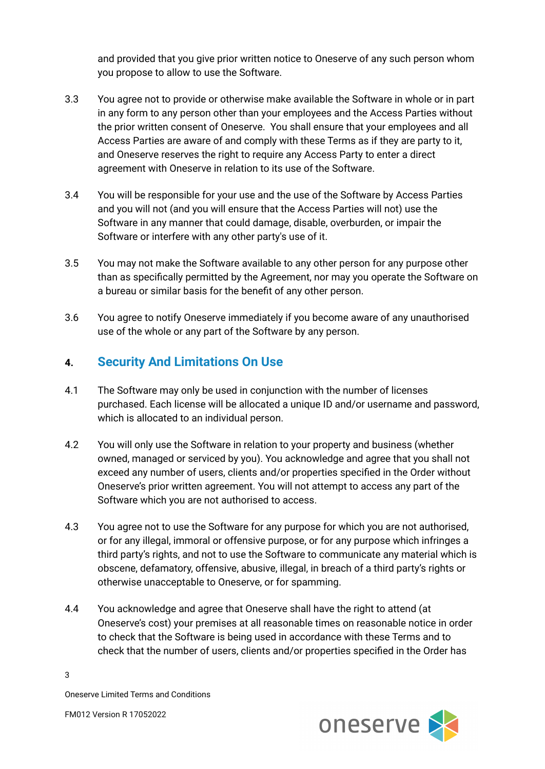and provided that you give prior written notice to Oneserve of any such person whom you propose to allow to use the Software.

- 3.3 You agree not to provide or otherwise make available the Software in whole or in part in any form to any person other than your employees and the Access Parties without the prior written consent of Oneserve. You shall ensure that your employees and all Access Parties are aware of and comply with these Terms as if they are party to it, and Oneserve reserves the right to require any Access Party to enter a direct agreement with Oneserve in relation to its use of the Software.
- 3.4 You will be responsible for your use and the use of the Software by Access Parties and you will not (and you will ensure that the Access Parties will not) use the Software in any manner that could damage, disable, overburden, or impair the Software or interfere with any other party's use of it.
- 3.5 You may not make the Software available to any other person for any purpose other than as specifically permitted by the Agreement, nor may you operate the Software on a bureau or similar basis for the benefit of any other person.
- 3.6 You agree to notify Oneserve immediately if you become aware of any unauthorised use of the whole or any part of the Software by any person.

## **4. Security And Limitations On Use**

- 4.1 The Software may only be used in conjunction with the number of licenses purchased. Each license will be allocated a unique ID and/or username and password, which is allocated to an individual person.
- 4.2 You will only use the Software in relation to your property and business (whether owned, managed or serviced by you). You acknowledge and agree that you shall not exceed any number of users, clients and/or properties specified in the Order without Oneserve's prior written agreement. You will not attempt to access any part of the Software which you are not authorised to access.
- 4.3 You agree not to use the Software for any purpose for which you are not authorised, or for any illegal, immoral or offensive purpose, or for any purpose which infringes a third party's rights, and not to use the Software to communicate any material which is obscene, defamatory, offensive, abusive, illegal, in breach of a third party's rights or otherwise unacceptable to Oneserve, or for spamming.
- 4.4 You acknowledge and agree that Oneserve shall have the right to attend (at Oneserve's cost) your premises at all reasonable times on reasonable notice in order to check that the Software is being used in accordance with these Terms and to check that the number of users, clients and/or properties specified in the Order has



3

Oneserve Limited Terms and Conditions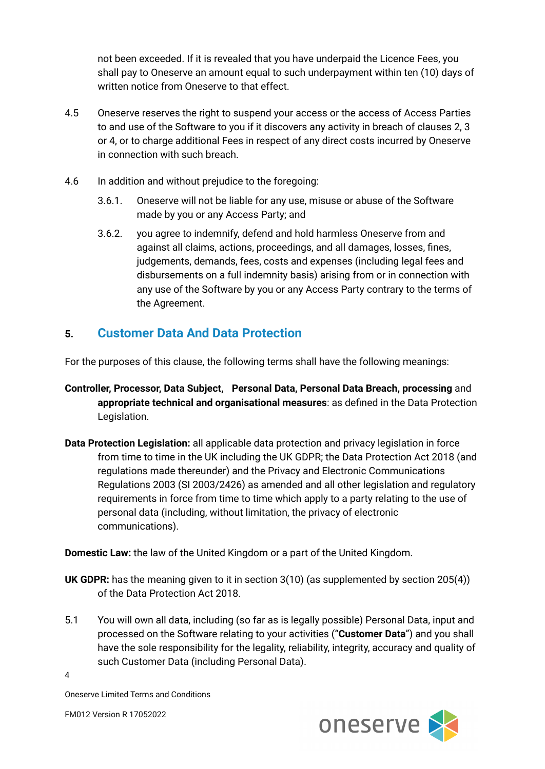not been exceeded. If it is revealed that you have underpaid the Licence Fees, you shall pay to Oneserve an amount equal to such underpayment within ten (10) days of written notice from Oneserve to that effect.

- 4.5 Oneserve reserves the right to suspend your access or the access of Access Parties to and use of the Software to you if it discovers any activity in breach of clauses 2, 3 or 4, or to charge additional Fees in respect of any direct costs incurred by Oneserve in connection with such breach.
- 4.6 In addition and without prejudice to the foregoing:
	- 3.6.1. Oneserve will not be liable for any use, misuse or abuse of the Software made by you or any Access Party; and
	- 3.6.2. you agree to indemnify, defend and hold harmless Oneserve from and against all claims, actions, proceedings, and all damages, losses, fines, judgements, demands, fees, costs and expenses (including legal fees and disbursements on a full indemnity basis) arising from or in connection with any use of the Software by you or any Access Party contrary to the terms of the Agreement.

# **5. Customer Data And Data Protection**

For the purposes of this clause, the following terms shall have the following meanings:

- **Controller, Processor, Data Subject, Personal Data, Personal Data Breach, processing** and **appropriate technical and organisational measures**: as defined in the Data Protection Legislation.
- **Data Protection Legislation:** all applicable data protection and privacy legislation in force from time to time in the UK including the UK GDPR; the Data Protection Act 2018 (and regulations made thereunder) and the Privacy and Electronic Communications Regulations 2003 (SI 2003/2426) as amended and all other legislation and regulatory requirements in force from time to time which apply to a party relating to the use of personal data (including, without limitation, the privacy of electronic communications).

**Domestic Law:** the law of the United Kingdom or a part of the United Kingdom.

**UK GDPR:** has the meaning given to it in section 3(10) (as supplemented by section 205(4)) of the Data Protection Act 2018.

5.1 You will own all data, including (so far as is legally possible) Personal Data, input and processed on the Software relating to your activities ("**Customer Data**") and you shall have the sole responsibility for the legality, reliability, integrity, accuracy and quality of such Customer Data (including Personal Data).

4



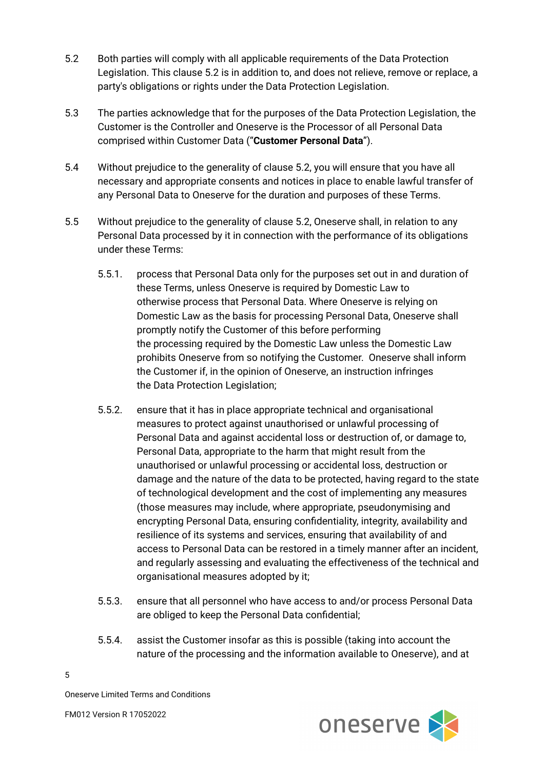- 5.2 Both parties will comply with all applicable requirements of the Data Protection Legislation. This clause 5.2 is in addition to, and does not relieve, remove or replace, a party's obligations or rights under the Data Protection Legislation.
- 5.3 The parties acknowledge that for the purposes of the Data Protection Legislation, the Customer is the Controller and Oneserve is the Processor of all Personal Data comprised within Customer Data ("**Customer Personal Data**").
- 5.4 Without prejudice to the generality of clause 5.2, you will ensure that you have all necessary and appropriate consents and notices in place to enable lawful transfer of any Personal Data to Oneserve for the duration and purposes of these Terms.
- 5.5 Without prejudice to the generality of clause 5.2, Oneserve shall, in relation to any Personal Data processed by it in connection with the performance of its obligations under these Terms:
	- 5.5.1. process that Personal Data only for the purposes set out in and duration of these Terms, unless Oneserve is required by Domestic Law to otherwise process that Personal Data. Where Oneserve is relying on Domestic Law as the basis for processing Personal Data, Oneserve shall promptly notify the Customer of this before performing the processing required by the Domestic Law unless the Domestic Law prohibits Oneserve from so notifying the Customer. Oneserve shall inform the Customer if, in the opinion of Oneserve, an instruction infringes the Data Protection Legislation;
	- 5.5.2. ensure that it has in place appropriate technical and organisational measures to protect against unauthorised or unlawful processing of Personal Data and against accidental loss or destruction of, or damage to, Personal Data, appropriate to the harm that might result from the unauthorised or unlawful processing or accidental loss, destruction or damage and the nature of the data to be protected, having regard to the state of technological development and the cost of implementing any measures (those measures may include, where appropriate, pseudonymising and encrypting Personal Data, ensuring confidentiality, integrity, availability and resilience of its systems and services, ensuring that availability of and access to Personal Data can be restored in a timely manner after an incident, and regularly assessing and evaluating the effectiveness of the technical and organisational measures adopted by it;
	- 5.5.3. ensure that all personnel who have access to and/or process Personal Data are obliged to keep the Personal Data confidential;
	- 5.5.4. assist the Customer insofar as this is possible (taking into account the nature of the processing and the information available to Oneserve), and at



5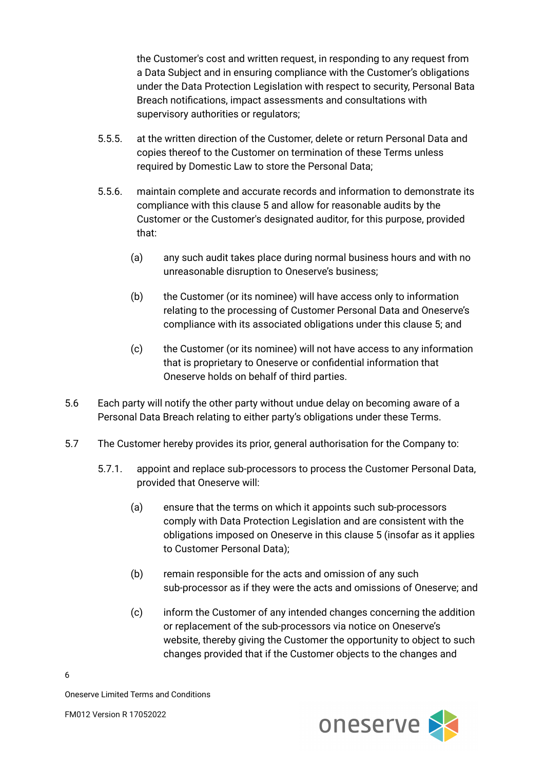the Customer's cost and written request, in responding to any request from a Data Subject and in ensuring compliance with the Customer's obligations under the Data Protection Legislation with respect to security, Personal Bata Breach notifications, impact assessments and consultations with supervisory authorities or regulators;

- 5.5.5. at the written direction of the Customer, delete or return Personal Data and copies thereof to the Customer on termination of these Terms unless required by Domestic Law to store the Personal Data;
- 5.5.6. maintain complete and accurate records and information to demonstrate its compliance with this clause 5 and allow for reasonable audits by the Customer or the Customer's designated auditor, for this purpose, provided that:
	- (a) any such audit takes place during normal business hours and with no unreasonable disruption to Oneserve's business;
	- (b) the Customer (or its nominee) will have access only to information relating to the processing of Customer Personal Data and Oneserve's compliance with its associated obligations under this clause 5; and
	- (c) the Customer (or its nominee) will not have access to any information that is proprietary to Oneserve or confidential information that Oneserve holds on behalf of third parties.
- 5.6 Each party will notify the other party without undue delay on becoming aware of a Personal Data Breach relating to either party's obligations under these Terms.
- 5.7 The Customer hereby provides its prior, general authorisation for the Company to:
	- 5.7.1. appoint and replace sub-processors to process the Customer Personal Data, provided that Oneserve will:
		- (a) ensure that the terms on which it appoints such sub-processors comply with Data Protection Legislation and are consistent with the obligations imposed on Oneserve in this clause 5 (insofar as it applies to Customer Personal Data);
		- (b) remain responsible for the acts and omission of any such sub-processor as if they were the acts and omissions of Oneserve; and
		- (c) inform the Customer of any intended changes concerning the addition or replacement of the sub-processors via notice on Oneserve's website, thereby giving the Customer the opportunity to object to such changes provided that if the Customer objects to the changes and



6

Oneserve Limited Terms and Conditions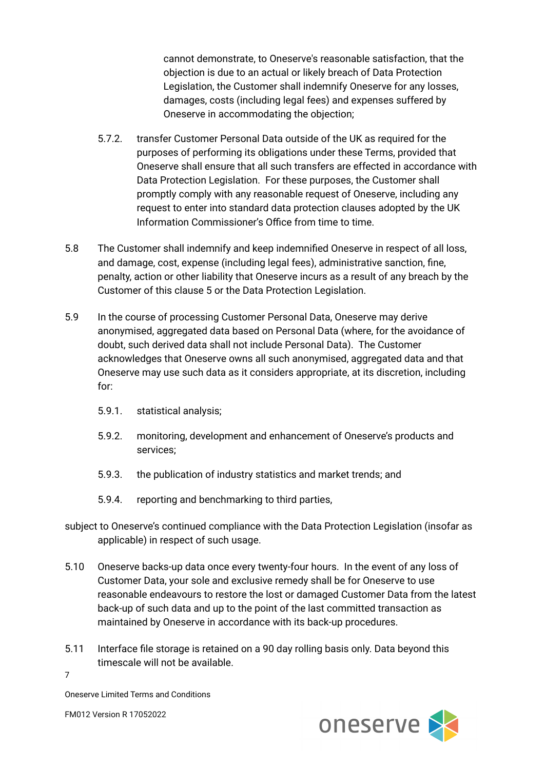cannot demonstrate, to Oneserve's reasonable satisfaction, that the objection is due to an actual or likely breach of Data Protection Legislation, the Customer shall indemnify Oneserve for any losses, damages, costs (including legal fees) and expenses suffered by Oneserve in accommodating the objection;

- 5.7.2. transfer Customer Personal Data outside of the UK as required for the purposes of performing its obligations under these Terms, provided that Oneserve shall ensure that all such transfers are effected in accordance with Data Protection Legislation. For these purposes, the Customer shall promptly comply with any reasonable request of Oneserve, including any request to enter into standard data protection clauses adopted by the UK Information Commissioner's Office from time to time.
- 5.8 The Customer shall indemnify and keep indemnified Oneserve in respect of all loss, and damage, cost, expense (including legal fees), administrative sanction, fine, penalty, action or other liability that Oneserve incurs as a result of any breach by the Customer of this clause 5 or the Data Protection Legislation.
- 5.9 In the course of processing Customer Personal Data, Oneserve may derive anonymised, aggregated data based on Personal Data (where, for the avoidance of doubt, such derived data shall not include Personal Data). The Customer acknowledges that Oneserve owns all such anonymised, aggregated data and that Oneserve may use such data as it considers appropriate, at its discretion, including for:
	- 5.9.1. statistical analysis;
	- 5.9.2. monitoring, development and enhancement of Oneserve's products and services;
	- 5.9.3. the publication of industry statistics and market trends; and
	- 5.9.4. reporting and benchmarking to third parties,
- subject to Oneserve's continued compliance with the Data Protection Legislation (insofar as applicable) in respect of such usage.
- 5.10 Oneserve backs-up data once every twenty-four hours. In the event of any loss of Customer Data, your sole and exclusive remedy shall be for Oneserve to use reasonable endeavours to restore the lost or damaged Customer Data from the latest back-up of such data and up to the point of the last committed transaction as maintained by Oneserve in accordance with its back-up procedures.
- 5.11 Interface file storage is retained on a 90 day rolling basis only. Data beyond this timescale will not be available.
- 7



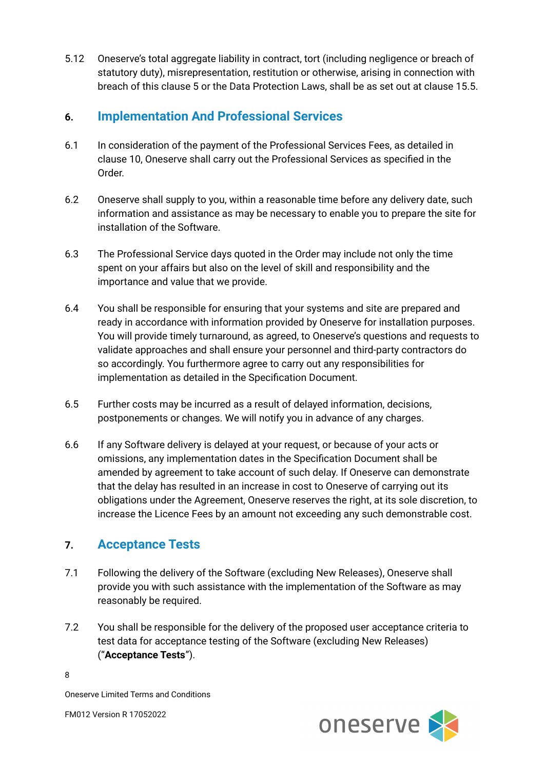5.12 Oneserve's total aggregate liability in contract, tort (including negligence or breach of statutory duty), misrepresentation, restitution or otherwise, arising in connection with breach of this clause 5 or the Data Protection Laws, shall be as set out at clause 15.5.

## **6. Implementation And Professional Services**

- 6.1 In consideration of the payment of the Professional Services Fees, as detailed in clause 10, Oneserve shall carry out the Professional Services as specified in the Order.
- 6.2 Oneserve shall supply to you, within a reasonable time before any delivery date, such information and assistance as may be necessary to enable you to prepare the site for installation of the Software.
- 6.3 The Professional Service days quoted in the Order may include not only the time spent on your affairs but also on the level of skill and responsibility and the importance and value that we provide.
- 6.4 You shall be responsible for ensuring that your systems and site are prepared and ready in accordance with information provided by Oneserve for installation purposes. You will provide timely turnaround, as agreed, to Oneserve's questions and requests to validate approaches and shall ensure your personnel and third-party contractors do so accordingly. You furthermore agree to carry out any responsibilities for implementation as detailed in the Specification Document.
- 6.5 Further costs may be incurred as a result of delayed information, decisions, postponements or changes. We will notify you in advance of any charges.
- 6.6 If any Software delivery is delayed at your request, or because of your acts or omissions, any implementation dates in the Specification Document shall be amended by agreement to take account of such delay. If Oneserve can demonstrate that the delay has resulted in an increase in cost to Oneserve of carrying out its obligations under the Agreement, Oneserve reserves the right, at its sole discretion, to increase the Licence Fees by an amount not exceeding any such demonstrable cost.

# **7. Acceptance Tests**

- 7.1 Following the delivery of the Software (excluding New Releases), Oneserve shall provide you with such assistance with the implementation of the Software as may reasonably be required.
- 7.2 You shall be responsible for the delivery of the proposed user acceptance criteria to test data for acceptance testing of the Software (excluding New Releases) ("**Acceptance Tests**").

8



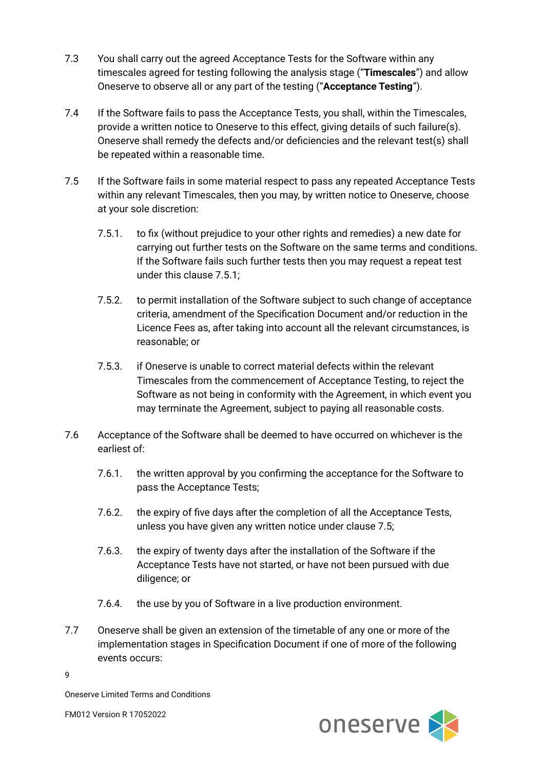- 7.3 You shall carry out the agreed Acceptance Tests for the Software within any timescales agreed for testing following the analysis stage ("**Timescales**") and allow Oneserve to observe all or any part of the testing ("**Acceptance Testing**").
- 7.4 If the Software fails to pass the Acceptance Tests, you shall, within the Timescales, provide a written notice to Oneserve to this effect, giving details of such failure(s). Oneserve shall remedy the defects and/or deficiencies and the relevant test(s) shall be repeated within a reasonable time.
- 7.5 If the Software fails in some material respect to pass any repeated Acceptance Tests within any relevant Timescales, then you may, by written notice to Oneserve, choose at your sole discretion:
	- 7.5.1. to fix (without prejudice to your other rights and remedies) a new date for carrying out further tests on the Software on the same terms and conditions. If the Software fails such further tests then you may request a repeat test under this clause 7.5.1;
	- 7.5.2. to permit installation of the Software subject to such change of acceptance criteria, amendment of the Specification Document and/or reduction in the Licence Fees as, after taking into account all the relevant circumstances, is reasonable; or
	- 7.5.3. if Oneserve is unable to correct material defects within the relevant Timescales from the commencement of Acceptance Testing, to reject the Software as not being in conformity with the Agreement, in which event you may terminate the Agreement, subject to paying all reasonable costs.
- 7.6 Acceptance of the Software shall be deemed to have occurred on whichever is the earliest of:
	- 7.6.1. the written approval by you confirming the acceptance for the Software to pass the Acceptance Tests;
	- 7.6.2. the expiry of five days after the completion of all the Acceptance Tests, unless you have given any written notice under clause 7.5;
	- 7.6.3. the expiry of twenty days after the installation of the Software if the Acceptance Tests have not started, or have not been pursued with due diligence; or
	- 7.6.4. the use by you of Software in a live production environment.
- 7.7 Oneserve shall be given an extension of the timetable of any one or more of the implementation stages in Specification Document if one of more of the following events occurs:

9



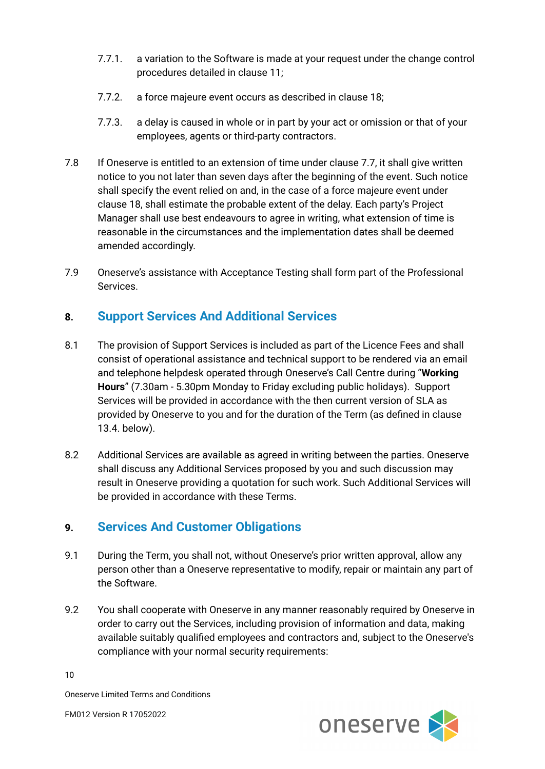- 7.7.1. a variation to the Software is made at your request under the change control procedures detailed in clause 11;
- 7.7.2. a force majeure event occurs as described in clause 18;
- 7.7.3. a delay is caused in whole or in part by your act or omission or that of your employees, agents or third-party contractors.
- 7.8 If Oneserve is entitled to an extension of time under clause 7.7, it shall give written notice to you not later than seven days after the beginning of the event. Such notice shall specify the event relied on and, in the case of a force majeure event under clause 18, shall estimate the probable extent of the delay. Each party's Project Manager shall use best endeavours to agree in writing, what extension of time is reasonable in the circumstances and the implementation dates shall be deemed amended accordingly.
- 7.9 Oneserve's assistance with Acceptance Testing shall form part of the Professional Services.

## **8. Support Services And Additional Services**

- 8.1 The provision of Support Services is included as part of the Licence Fees and shall consist of operational assistance and technical support to be rendered via an email and telephone helpdesk operated through Oneserve's Call Centre during "**Working Hours**" (7.30am - 5.30pm Monday to Friday excluding public holidays). Support Services will be provided in accordance with the then current version of SLA as provided by Oneserve to you and for the duration of the Term (as defined in clause 13.4. below).
- 8.2 Additional Services are available as agreed in writing between the parties. Oneserve shall discuss any Additional Services proposed by you and such discussion may result in Oneserve providing a quotation for such work. Such Additional Services will be provided in accordance with these Terms.

## **9. Services And Customer Obligations**

- 9.1 During the Term, you shall not, without Oneserve's prior written approval, allow any person other than a Oneserve representative to modify, repair or maintain any part of the Software.
- 9.2 You shall cooperate with Oneserve in any manner reasonably required by Oneserve in order to carry out the Services, including provision of information and data, making available suitably qualified employees and contractors and, subject to the Oneserve's compliance with your normal security requirements:

10



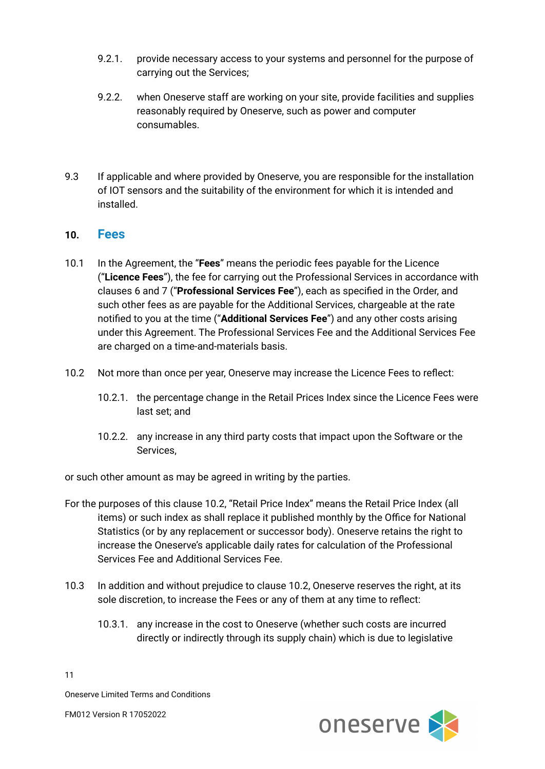- 9.2.1. provide necessary access to your systems and personnel for the purpose of carrying out the Services;
- 9.2.2. when Oneserve staff are working on your site, provide facilities and supplies reasonably required by Oneserve, such as power and computer consumables.
- 9.3 If applicable and where provided by Oneserve, you are responsible for the installation of IOT sensors and the suitability of the environment for which it is intended and installed.

#### **10. Fees**

- 10.1 In the Agreement, the "**Fees**" means the periodic fees payable for the Licence ("**Licence Fees**"), the fee for carrying out the Professional Services in accordance with clauses 6 and 7 ("**Professional Services Fee**"), each as specified in the Order, and such other fees as are payable for the Additional Services, chargeable at the rate notified to you at the time ("**Additional Services Fee**") and any other costs arising under this Agreement. The Professional Services Fee and the Additional Services Fee are charged on a time-and-materials basis.
- 10.2 Not more than once per year, Oneserve may increase the Licence Fees to reflect:
	- 10.2.1. the percentage change in the Retail Prices Index since the Licence Fees were last set; and
	- 10.2.2. any increase in any third party costs that impact upon the Software or the Services,

or such other amount as may be agreed in writing by the parties.

- For the purposes of this clause 10.2, "Retail Price Index" means the Retail Price Index (all items) or such index as shall replace it published monthly by the Office for National Statistics (or by any replacement or successor body). Oneserve retains the right to increase the Oneserve's applicable daily rates for calculation of the Professional Services Fee and Additional Services Fee.
- 10.3 In addition and without prejudice to clause 10.2, Oneserve reserves the right, at its sole discretion, to increase the Fees or any of them at any time to reflect:
	- 10.3.1. any increase in the cost to Oneserve (whether such costs are incurred directly or indirectly through its supply chain) which is due to legislative



11

Oneserve Limited Terms and Conditions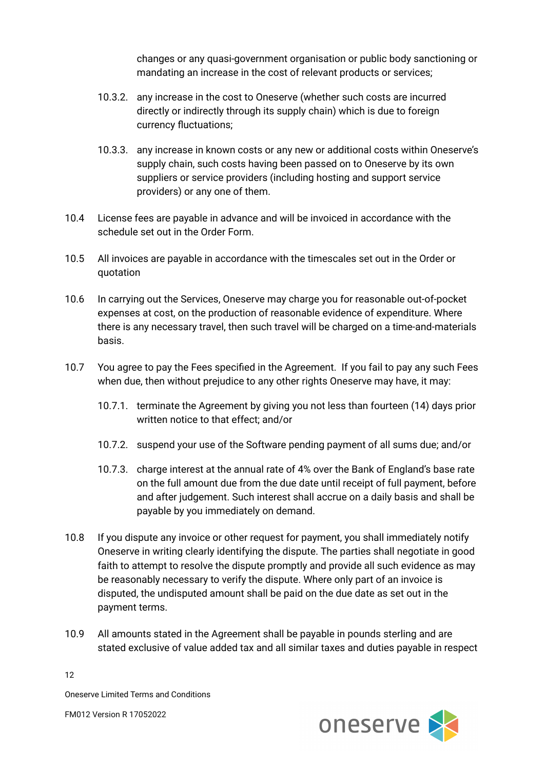changes or any quasi-government organisation or public body sanctioning or mandating an increase in the cost of relevant products or services;

- 10.3.2. any increase in the cost to Oneserve (whether such costs are incurred directly or indirectly through its supply chain) which is due to foreign currency fluctuations;
- 10.3.3. any increase in known costs or any new or additional costs within Oneserve's supply chain, such costs having been passed on to Oneserve by its own suppliers or service providers (including hosting and support service providers) or any one of them.
- 10.4 License fees are payable in advance and will be invoiced in accordance with the schedule set out in the Order Form.
- 10.5 All invoices are payable in accordance with the timescales set out in the Order or quotation
- 10.6 In carrying out the Services, Oneserve may charge you for reasonable out-of-pocket expenses at cost, on the production of reasonable evidence of expenditure. Where there is any necessary travel, then such travel will be charged on a time-and-materials basis.
- 10.7 You agree to pay the Fees specified in the Agreement. If you fail to pay any such Fees when due, then without prejudice to any other rights Oneserve may have, it may:
	- 10.7.1. terminate the Agreement by giving you not less than fourteen (14) days prior written notice to that effect; and/or
	- 10.7.2. suspend your use of the Software pending payment of all sums due; and/or
	- 10.7.3. charge interest at the annual rate of 4% over the Bank of England's base rate on the full amount due from the due date until receipt of full payment, before and after judgement. Such interest shall accrue on a daily basis and shall be payable by you immediately on demand.
- 10.8 If you dispute any invoice or other request for payment, you shall immediately notify Oneserve in writing clearly identifying the dispute. The parties shall negotiate in good faith to attempt to resolve the dispute promptly and provide all such evidence as may be reasonably necessary to verify the dispute. Where only part of an invoice is disputed, the undisputed amount shall be paid on the due date as set out in the payment terms.
- 10.9 All amounts stated in the Agreement shall be payable in pounds sterling and are stated exclusive of value added tax and all similar taxes and duties payable in respect

12

Oneserve Limited Terms and Conditions

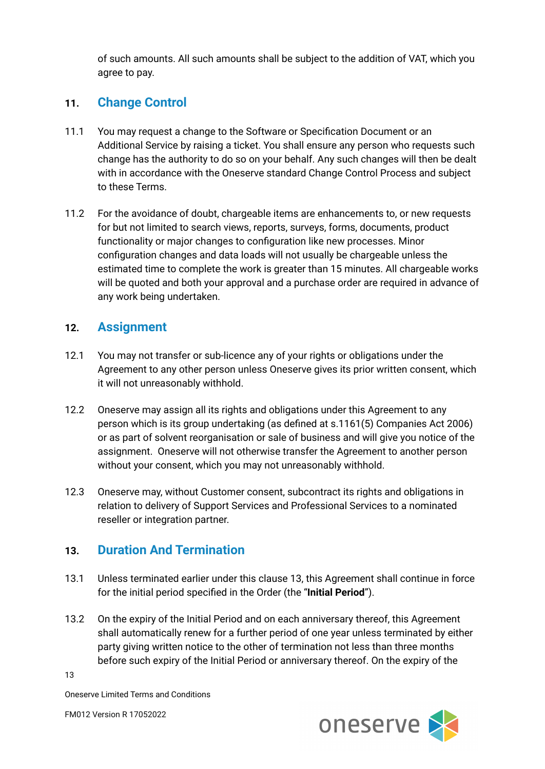of such amounts. All such amounts shall be subject to the addition of VAT, which you agree to pay.

#### **11. Change Control**

- 11.1 You may request a change to the Software or Specification Document or an Additional Service by raising a ticket. You shall ensure any person who requests such change has the authority to do so on your behalf. Any such changes will then be dealt with in accordance with the Oneserve standard Change Control Process and subject to these Terms.
- 11.2 For the avoidance of doubt, chargeable items are enhancements to, or new requests for but not limited to search views, reports, surveys, forms, documents, product functionality or major changes to configuration like new processes. Minor configuration changes and data loads will not usually be chargeable unless the estimated time to complete the work is greater than 15 minutes. All chargeable works will be quoted and both your approval and a purchase order are required in advance of any work being undertaken.

#### **12. Assignment**

- 12.1 You may not transfer or sub-licence any of your rights or obligations under the Agreement to any other person unless Oneserve gives its prior written consent, which it will not unreasonably withhold.
- 12.2 Oneserve may assign all its rights and obligations under this Agreement to any person which is its group undertaking (as defined at s.1161(5) Companies Act 2006) or as part of solvent reorganisation or sale of business and will give you notice of the assignment. Oneserve will not otherwise transfer the Agreement to another person without your consent, which you may not unreasonably withhold.
- 12.3 Oneserve may, without Customer consent, subcontract its rights and obligations in relation to delivery of Support Services and Professional Services to a nominated reseller or integration partner.

#### **13. Duration And Termination**

- 13.1 Unless terminated earlier under this clause 13, this Agreement shall continue in force for the initial period specified in the Order (the "**Initial Period**").
- 13.2 On the expiry of the Initial Period and on each anniversary thereof, this Agreement shall automatically renew for a further period of one year unless terminated by either party giving written notice to the other of termination not less than three months before such expiry of the Initial Period or anniversary thereof. On the expiry of the

13



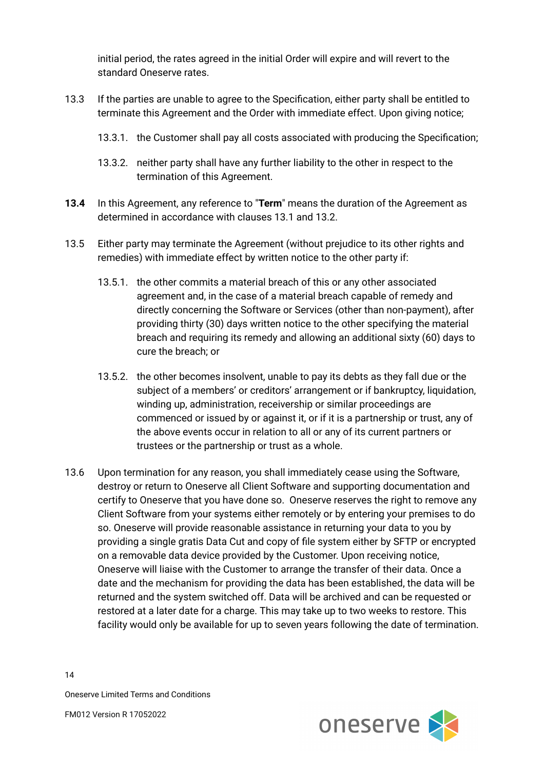initial period, the rates agreed in the initial Order will expire and will revert to the standard Oneserve rates.

- 13.3 If the parties are unable to agree to the Specification, either party shall be entitled to terminate this Agreement and the Order with immediate effect. Upon giving notice;
	- 13.3.1. the Customer shall pay all costs associated with producing the Specification;
	- 13.3.2. neither party shall have any further liability to the other in respect to the termination of this Agreement.
- **13.4** In this Agreement, any reference to "**Term**" means the duration of the Agreement as determined in accordance with clauses 13.1 and 13.2.
- 13.5 Either party may terminate the Agreement (without prejudice to its other rights and remedies) with immediate effect by written notice to the other party if:
	- 13.5.1. the other commits a material breach of this or any other associated agreement and, in the case of a material breach capable of remedy and directly concerning the Software or Services (other than non-payment), after providing thirty (30) days written notice to the other specifying the material breach and requiring its remedy and allowing an additional sixty (60) days to cure the breach; or
	- 13.5.2. the other becomes insolvent, unable to pay its debts as they fall due or the subject of a members' or creditors' arrangement or if bankruptcy, liquidation, winding up, administration, receivership or similar proceedings are commenced or issued by or against it, or if it is a partnership or trust, any of the above events occur in relation to all or any of its current partners or trustees or the partnership or trust as a whole.
- 13.6 Upon termination for any reason, you shall immediately cease using the Software, destroy or return to Oneserve all Client Software and supporting documentation and certify to Oneserve that you have done so. Oneserve reserves the right to remove any Client Software from your systems either remotely or by entering your premises to do so. Oneserve will provide reasonable assistance in returning your data to you by providing a single gratis Data Cut and copy of file system either by SFTP or encrypted on a removable data device provided by the Customer. Upon receiving notice, Oneserve will liaise with the Customer to arrange the transfer of their data. Once a date and the mechanism for providing the data has been established, the data will be returned and the system switched off. Data will be archived and can be requested or restored at a later date for a charge. This may take up to two weeks to restore. This facility would only be available for up to seven years following the date of termination.

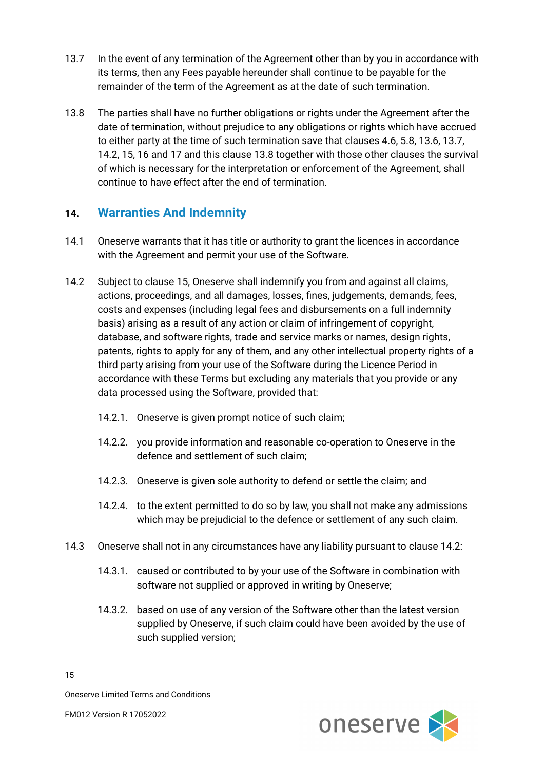- 13.7 In the event of any termination of the Agreement other than by you in accordance with its terms, then any Fees payable hereunder shall continue to be payable for the remainder of the term of the Agreement as at the date of such termination.
- 13.8 The parties shall have no further obligations or rights under the Agreement after the date of termination, without prejudice to any obligations or rights which have accrued to either party at the time of such termination save that clauses 4.6, 5.8, 13.6, 13.7, 14.2, 15, 16 and 17 and this clause 13.8 together with those other clauses the survival of which is necessary for the interpretation or enforcement of the Agreement, shall continue to have effect after the end of termination.

## **14. Warranties And Indemnity**

- 14.1 Oneserve warrants that it has title or authority to grant the licences in accordance with the Agreement and permit your use of the Software.
- 14.2 Subject to clause 15, Oneserve shall indemnify you from and against all claims, actions, proceedings, and all damages, losses, fines, judgements, demands, fees, costs and expenses (including legal fees and disbursements on a full indemnity basis) arising as a result of any action or claim of infringement of copyright, database, and software rights, trade and service marks or names, design rights, patents, rights to apply for any of them, and any other intellectual property rights of a third party arising from your use of the Software during the Licence Period in accordance with these Terms but excluding any materials that you provide or any data processed using the Software, provided that:
	- 14.2.1. Oneserve is given prompt notice of such claim;
	- 14.2.2. you provide information and reasonable co-operation to Oneserve in the defence and settlement of such claim;
	- 14.2.3. Oneserve is given sole authority to defend or settle the claim; and
	- 14.2.4. to the extent permitted to do so by law, you shall not make any admissions which may be prejudicial to the defence or settlement of any such claim.
- 14.3 Oneserve shall not in any circumstances have any liability pursuant to clause 14.2:
	- 14.3.1. caused or contributed to by your use of the Software in combination with software not supplied or approved in writing by Oneserve;
	- 14.3.2. based on use of any version of the Software other than the latest version supplied by Oneserve, if such claim could have been avoided by the use of such supplied version;

15



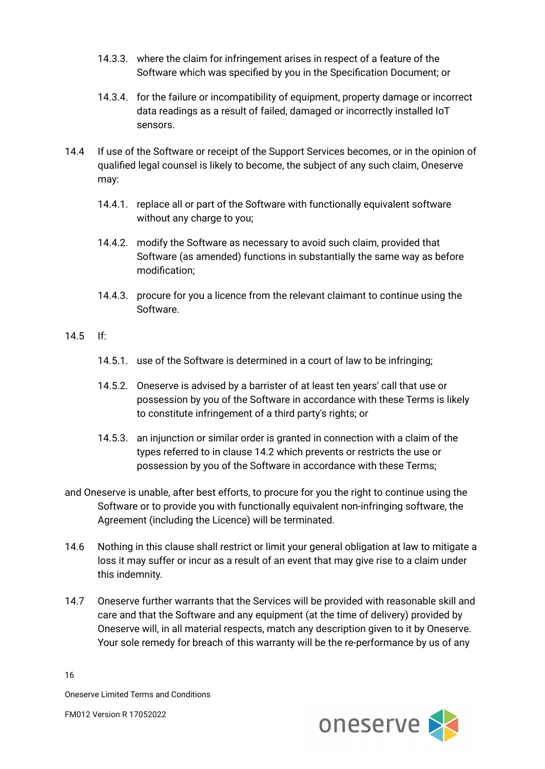- 14.3.3. where the claim for infringement arises in respect of a feature of the Software which was specified by you in the Specification Document; or
- 14.3.4. for the failure or incompatibility of equipment, property damage or incorrect data readings as a result of failed, damaged or incorrectly installed IoT sensors.
- 14.4 If use of the Software or receipt of the Support Services becomes, or in the opinion of qualified legal counsel is likely to become, the subject of any such claim, Oneserve may:
	- 14.4.1. replace all or part of the Software with functionally equivalent software without any charge to you;
	- 14.4.2. modify the Software as necessary to avoid such claim, provided that Software (as amended) functions in substantially the same way as before modification;
	- 14.4.3. procure for you a licence from the relevant claimant to continue using the Software.
- 14.5 If:
	- 14.5.1. use of the Software is determined in a court of law to be infringing;
	- 14.5.2. Oneserve is advised by a barrister of at least ten years' call that use or possession by you of the Software in accordance with these Terms is likely to constitute infringement of a third party's rights; or
	- 14.5.3. an injunction or similar order is granted in connection with a claim of the types referred to in clause 14.2 which prevents or restricts the use or possession by you of the Software in accordance with these Terms;
- and Oneserve is unable, after best efforts, to procure for you the right to continue using the Software or to provide you with functionally equivalent non-infringing software, the Agreement (including the Licence) will be terminated.
- 14.6 Nothing in this clause shall restrict or limit your general obligation at law to mitigate a loss it may suffer or incur as a result of an event that may give rise to a claim under this indemnity.
- 14.7 Oneserve further warrants that the Services will be provided with reasonable skill and care and that the Software and any equipment (at the time of delivery) provided by Oneserve will, in all material respects, match any description given to it by Oneserve. Your sole remedy for breach of this warranty will be the re-performance by us of any

16



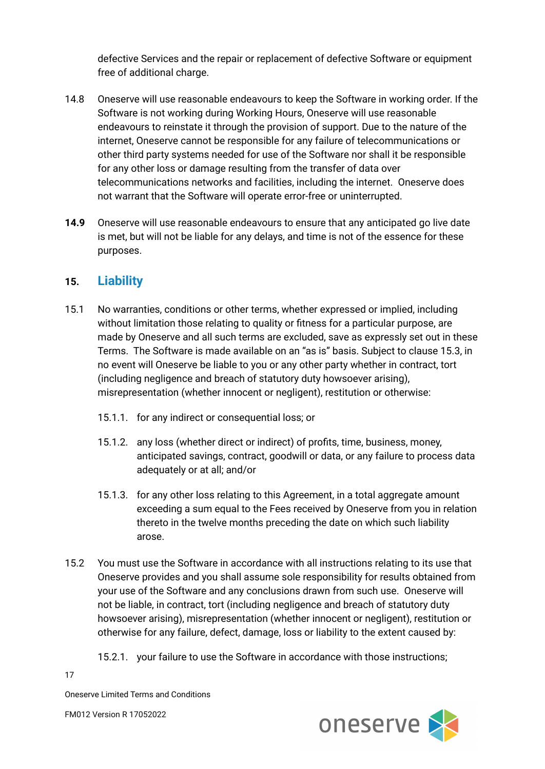defective Services and the repair or replacement of defective Software or equipment free of additional charge.

- 14.8 Oneserve will use reasonable endeavours to keep the Software in working order. If the Software is not working during Working Hours, Oneserve will use reasonable endeavours to reinstate it through the provision of support. Due to the nature of the internet, Oneserve cannot be responsible for any failure of telecommunications or other third party systems needed for use of the Software nor shall it be responsible for any other loss or damage resulting from the transfer of data over telecommunications networks and facilities, including the internet. Oneserve does not warrant that the Software will operate error-free or uninterrupted.
- **14.9** Oneserve will use reasonable endeavours to ensure that any anticipated go live date is met, but will not be liable for any delays, and time is not of the essence for these purposes.

#### **15. Liability**

- 15.1 No warranties, conditions or other terms, whether expressed or implied, including without limitation those relating to quality or fitness for a particular purpose, are made by Oneserve and all such terms are excluded, save as expressly set out in these Terms. The Software is made available on an "as is" basis. Subject to clause 15.3, in no event will Oneserve be liable to you or any other party whether in contract, tort (including negligence and breach of statutory duty howsoever arising), misrepresentation (whether innocent or negligent), restitution or otherwise:
	- 15.1.1. for any indirect or consequential loss; or
	- 15.1.2. any loss (whether direct or indirect) of profits, time, business, money, anticipated savings, contract, goodwill or data, or any failure to process data adequately or at all; and/or
	- 15.1.3. for any other loss relating to this Agreement, in a total aggregate amount exceeding a sum equal to the Fees received by Oneserve from you in relation thereto in the twelve months preceding the date on which such liability arose.
- 15.2 You must use the Software in accordance with all instructions relating to its use that Oneserve provides and you shall assume sole responsibility for results obtained from your use of the Software and any conclusions drawn from such use. Oneserve will not be liable, in contract, tort (including negligence and breach of statutory duty howsoever arising), misrepresentation (whether innocent or negligent), restitution or otherwise for any failure, defect, damage, loss or liability to the extent caused by:
	- 15.2.1. your failure to use the Software in accordance with those instructions;

oneserve

17

Oneserve Limited Terms and Conditions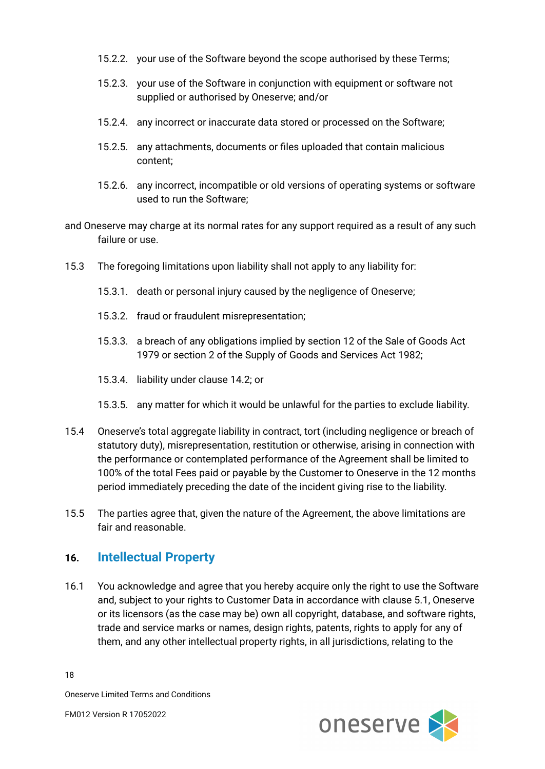- 15.2.2. your use of the Software beyond the scope authorised by these Terms;
- 15.2.3. your use of the Software in conjunction with equipment or software not supplied or authorised by Oneserve; and/or
- 15.2.4. any incorrect or inaccurate data stored or processed on the Software;
- 15.2.5. any attachments, documents or files uploaded that contain malicious content;
- 15.2.6. any incorrect, incompatible or old versions of operating systems or software used to run the Software;
- and Oneserve may charge at its normal rates for any support required as a result of any such failure or use.
- 15.3 The foregoing limitations upon liability shall not apply to any liability for:
	- 15.3.1. death or personal injury caused by the negligence of Oneserve;
	- 15.3.2. fraud or fraudulent misrepresentation;
	- 15.3.3. a breach of any obligations implied by section 12 of the Sale of Goods Act 1979 or section 2 of the Supply of Goods and Services Act 1982;
	- 15.3.4. liability under clause 14.2; or
	- 15.3.5. any matter for which it would be unlawful for the parties to exclude liability.
- 15.4 Oneserve's total aggregate liability in contract, tort (including negligence or breach of statutory duty), misrepresentation, restitution or otherwise, arising in connection with the performance or contemplated performance of the Agreement shall be limited to 100% of the total Fees paid or payable by the Customer to Oneserve in the 12 months period immediately preceding the date of the incident giving rise to the liability.
- 15.5 The parties agree that, given the nature of the Agreement, the above limitations are fair and reasonable.

#### **16. Intellectual Property**

16.1 You acknowledge and agree that you hereby acquire only the right to use the Software and, subject to your rights to Customer Data in accordance with clause 5.1, Oneserve or its licensors (as the case may be) own all copyright, database, and software rights, trade and service marks or names, design rights, patents, rights to apply for any of them, and any other intellectual property rights, in all jurisdictions, relating to the

18



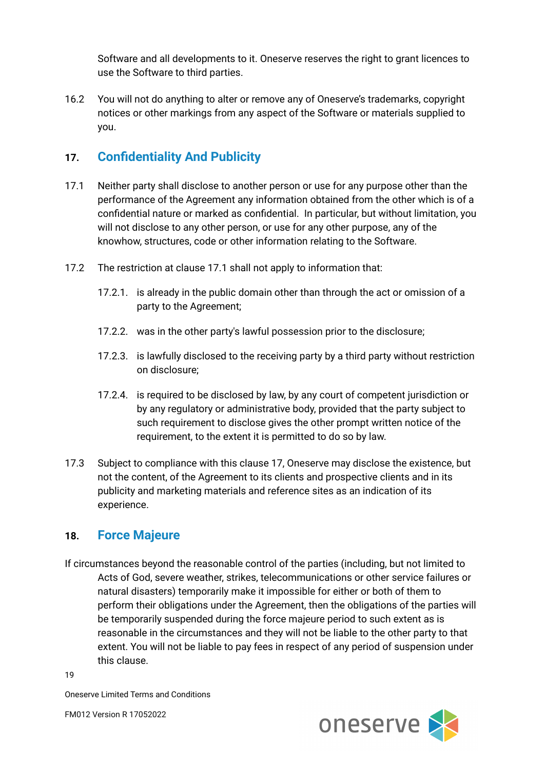Software and all developments to it. Oneserve reserves the right to grant licences to use the Software to third parties.

16.2 You will not do anything to alter or remove any of Oneserve's trademarks, copyright notices or other markings from any aspect of the Software or materials supplied to you.

#### **17. Confidentiality And Publicity**

- 17.1 Neither party shall disclose to another person or use for any purpose other than the performance of the Agreement any information obtained from the other which is of a confidential nature or marked as confidential. In particular, but without limitation, you will not disclose to any other person, or use for any other purpose, any of the knowhow, structures, code or other information relating to the Software.
- 17.2 The restriction at clause 17.1 shall not apply to information that:
	- 17.2.1. is already in the public domain other than through the act or omission of a party to the Agreement;
	- 17.2.2. was in the other party's lawful possession prior to the disclosure;
	- 17.2.3. is lawfully disclosed to the receiving party by a third party without restriction on disclosure;
	- 17.2.4. is required to be disclosed by law, by any court of competent jurisdiction or by any regulatory or administrative body, provided that the party subject to such requirement to disclose gives the other prompt written notice of the requirement, to the extent it is permitted to do so by law.
- 17.3 Subject to compliance with this clause 17, Oneserve may disclose the existence, but not the content, of the Agreement to its clients and prospective clients and in its publicity and marketing materials and reference sites as an indication of its experience.

## **18. Force Majeure**

If circumstances beyond the reasonable control of the parties (including, but not limited to Acts of God, severe weather, strikes, telecommunications or other service failures or natural disasters) temporarily make it impossible for either or both of them to perform their obligations under the Agreement, then the obligations of the parties will be temporarily suspended during the force majeure period to such extent as is reasonable in the circumstances and they will not be liable to the other party to that extent. You will not be liable to pay fees in respect of any period of suspension under this clause.

19



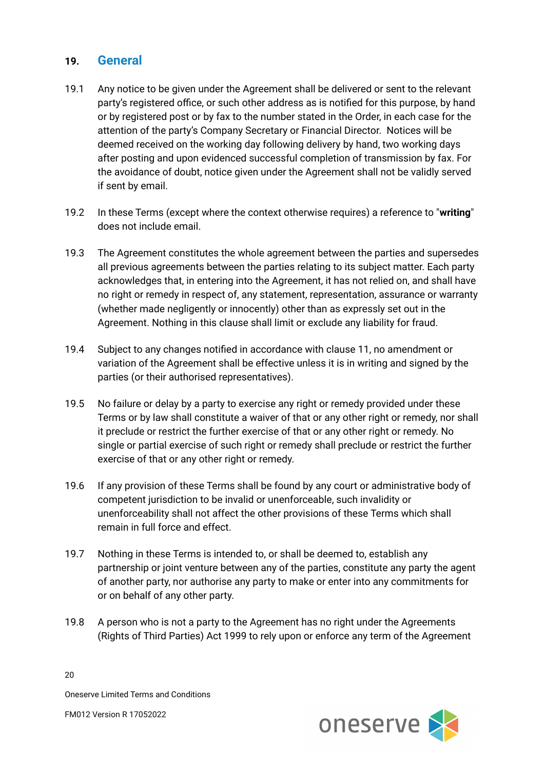#### **19. General**

- 19.1 Any notice to be given under the Agreement shall be delivered or sent to the relevant party's registered office, or such other address as is notified for this purpose, by hand or by registered post or by fax to the number stated in the Order, in each case for the attention of the party's Company Secretary or Financial Director. Notices will be deemed received on the working day following delivery by hand, two working days after posting and upon evidenced successful completion of transmission by fax. For the avoidance of doubt, notice given under the Agreement shall not be validly served if sent by email.
- 19.2 In these Terms (except where the context otherwise requires) a reference to "**writing**" does not include email.
- 19.3 The Agreement constitutes the whole agreement between the parties and supersedes all previous agreements between the parties relating to its subject matter. Each party acknowledges that, in entering into the Agreement, it has not relied on, and shall have no right or remedy in respect of, any statement, representation, assurance or warranty (whether made negligently or innocently) other than as expressly set out in the Agreement. Nothing in this clause shall limit or exclude any liability for fraud.
- 19.4 Subject to any changes notified in accordance with clause 11, no amendment or variation of the Agreement shall be effective unless it is in writing and signed by the parties (or their authorised representatives).
- 19.5 No failure or delay by a party to exercise any right or remedy provided under these Terms or by law shall constitute a waiver of that or any other right or remedy, nor shall it preclude or restrict the further exercise of that or any other right or remedy. No single or partial exercise of such right or remedy shall preclude or restrict the further exercise of that or any other right or remedy.
- 19.6 If any provision of these Terms shall be found by any court or administrative body of competent jurisdiction to be invalid or unenforceable, such invalidity or unenforceability shall not affect the other provisions of these Terms which shall remain in full force and effect.
- 19.7 Nothing in these Terms is intended to, or shall be deemed to, establish any partnership or joint venture between any of the parties, constitute any party the agent of another party, nor authorise any party to make or enter into any commitments for or on behalf of any other party.
- 19.8 A person who is not a party to the Agreement has no right under the Agreements (Rights of Third Parties) Act 1999 to rely upon or enforce any term of the Agreement

oneserve

20

Oneserve Limited Terms and Conditions FM012 Version R 17052022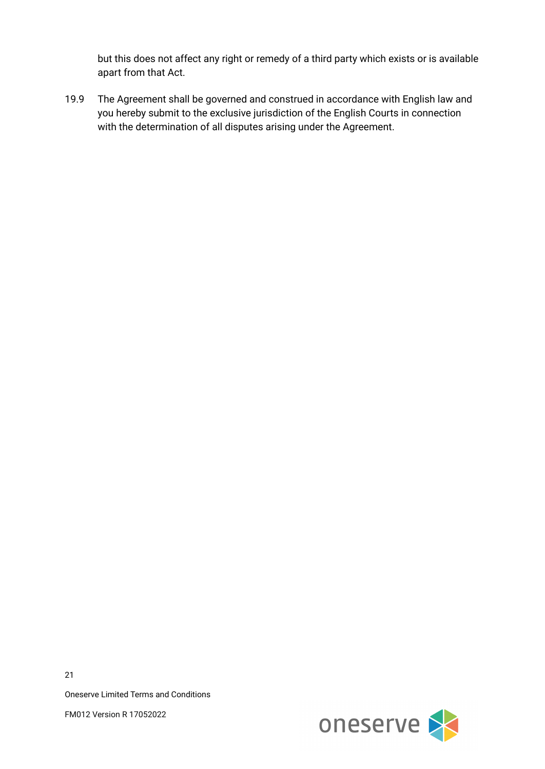but this does not affect any right or remedy of a third party which exists or is available apart from that Act.

19.9 The Agreement shall be governed and construed in accordance with English law and you hereby submit to the exclusive jurisdiction of the English Courts in connection with the determination of all disputes arising under the Agreement.



21